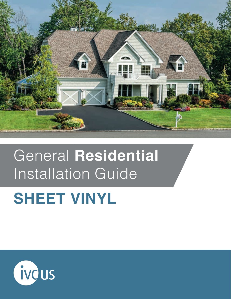

# General **Residential** Installation Guide

# **SHEET VINYL**

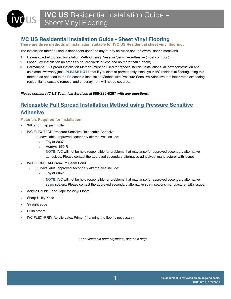# **IVC US Residential Installation Guide - Sheet Vinyl Flooring**

**There are three methods of installation suitable for IVC US Residential sheet vinyl flooring:** 

The installation method used is dependent upon the day-to-day activities and the overall floor dimensions.

- **1.** Releasable Full Spread Installation Method using Pressure Sensitive Adhesive (most common)
- **2.** Loose-Lay Installation (in areas 25 square yards or less and no more than 1 seam)
- **3.** Permanent Full Spread Installation Method (must be used for "special needs" installations, all new construction and cold crack warranty jobs) **PLEASE NOTE** that if you elect to permanently install your IVC residential flooring using this method as opposed to the Releasable Installation Method with Pressure Sensitive Adhesive that labor rates exceeding residential releasable removal and underlayment will not be covered.

# *Please contact IVC US Technical Services at* **888-225-8287** *with any questions.*

# **Releasable Full Spread Installation Method using Pressure Sensitive Adhesive**

**Materials Required for Installation:**

- 3/8" short nap paint roller
- IVC FLEX-TECH Pressure Sensitive Releasable Adhesive
	- If unavailable, approved secondary alternatives include:
		- Taylor 2037
		- Henry© 650 R

**NOTE:** IVC will not be held responsible for problems that may arise for approved secondary alternative adhesives. Please contact the approved secondary alternative adhesives' manufacturer with issues.

- IVC FLEX-SEAM Premium Seam Bond
	- If unavailable, approved secondary alternatives include:
		- Taylor 2062
			- **NOTE:** IVC will not be held responsible for problems that may arise for approved secondary alternative seam sealers. Please contact the approved secondary alternative seam sealer's manufacturer with issues.
- Acrylic Double Face Tape for Vinyl Floors
- **Sharp Utility Knife**
- Straight edge
- Push broom
- IVC FLEX -PRIM Acrylic Latex Primer (if priming the floor is necessary)

*For acceptable underlayments, see next page*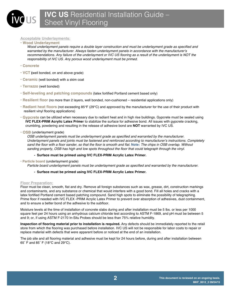### **Acceptable Underlayments:**

#### **• Wood Underlayment**

*Wood underlayment panels require a double layer construction and must be underlayment grade as specified and warranted by the manufacturer. Always fasten underlayment panels in accordance with the manufacturer's*  recommendations. Any failure of the underlayment or IVC US flooring as a result of the underlayment is NOT the *responsibility of IVC US. Any porous wood underlayment must be primed.*

- **Concrete**
- **• VCT (**well bonded, on and above grade)
- **• Ceramic** (well bonded) with a skim coat
- **• Terrazzo** (well bonded)
- **• Self-leveling and patching compounds** (latex fortified Portland cement based only)
- **• Resilient floor** (no more than 2 layers, well bonded, non-cushioned residential applications only)
- **Radiant heat floors** (not exceeding 85°F (29°C) and approved by the manufacturer for the use of their product with resilient vinyl flooring applications)
- **• Gypcrete** can be utilized when necessary due to radiant heat and in high rise buildings. Gypcrete must be sealed using **IVC FLEX-PRIM Acrylic Latex Prime**r to stabilize the surface for adhesive bond. All issues with gypcrete cracking, crumbling, powdering and resulting in the release of adhesive bond are **NOT** warranted by IVC US.
- **OSB** (underlayment grade)

*OSB underlayment panels must be underlayment grade as specified and warranted by the manufacturer. Underlayment panels and joints must be fastened and reinforced according to manufacturer's instructions. Completely sand the floor with a floor sander, so that the floor is smooth and flat.* **Note:** *The chips in OSB overlap. Without sanding properly, OSB has high and low spots throughout the floor that could telegraph through the vinyl.*

*-* **Surface must be primed using IVC FLEX-PRIM Acrylic Latex Primer.**

**• Particle board** (underlayment grade)

*Particle board underlayment panels must be underlayment grade as specified and warranted by the manufacturer.* 

#### *-* **Surface must be primed using IVC FLEX-PRIM Acrylic Latex Primer.**

#### **Floor Preparation:**

Floor must be clean, smooth, flat and dry. Remove all foreign substances such as wax, grease, dirt, construction markings and contaminants, and any substance or chemical that would interfere with a good bond. Fill all holes and cracks with a latex fortified Portland cement based patching compound. Sand high spots to eliminate the possibility of telegraphing. Prime floor if needed with IVC FLEX -PRIM Acrylic Latex Primer to prevent over absorption of adhesives, dust containment, and to ensure a better bond of the adhesive to the subfloor.

Moisture levels at the time of installation of concrete slabs during and after installation must be 5 lbs. or less per 1000 square feet per 24 hours using an anhydrous calcium chloride test according to ASTM F-1869, and pH must be between 5 and 9; or, if using ASTM F-2170 In-Situ Probes should be less than 75% relative humidity.

**Inspection of flooring material prior to installation is required.** Any defects should be immediately reported to the retail store from which the flooring was purchased before installation. IVC US will not be responsible for labor costs to repair or replace material with defects that were apparent before or noticed at the end of an installation.

The job site and all flooring material and adhesive must be kept for 24 hours before, during and after installation between 65˚ F and 85˚ F (18°C and 29°C).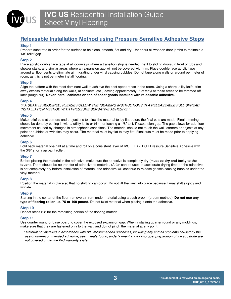# **Releasable Installation Method using Pressure Sensitive Adhesive Steps**

# **Step 1**

 $\mathsf{S}$ 

Prepare substrate in order for the surface to be clean, smooth, flat and dry. Under cut all wooden door jambs to maintain a 1/8" relief gap.

# **Step 2**

Place acrylic double face tape at all doorways where a transition strip is needed, next to sliding doors, in front of tubs and shower stalls, and similar areas where an expansion gap will not be covered with trim. Place double face acrylic tape around all floor vents to eliminate air migrating under vinyl causing bubbles. Do not tape along walls or around perimeter of room, as this is not perimeter install flooring.

# **Step 3**

Align the pattern with the most dominant wall to achieve the best appearance in the room. Using a sharp utility knife, trim away excess material along the walls, at cabinets, etc., leaving approximately 2" of vinyl at these areas to be trimmed off later (rough cut). **Never install cabinets on top of sheet goods installed with releasable adhesive.** 

# **Step 4**

*IF A SEAM IS REQUIRED, PLEASE FOLLOW THE "SEAMING INSTRUCTIONS IN A RELEASEABLE FULL SPREAD INSTALLATION METHOD WITH PRESSURE SENSATIVE ADHESIVE."*

# **Step 5**

Make relief cuts at corners and projections to allow the material to lay flat before the final cuts are made. Final trimming should be done by cutting in with a utility knife or trimmer leaving a 1/8" to 1/4" expansion gap. The gap allows for sub-floor movement caused by changes in atmospheric conditions. The material should not touch the wall, corners or objects at any point or bubbles or wrinkles may occur. The material must lay flat to stay flat. Final cuts must be made prior to applying adhesive.

# **Step 6**

Fold back material one half at a time and roll on a consistent layer of IVC FLEX-TECH Pressure Sensitive Adhesive with the 3/8" short nap paint roller.

# **Step 7**

Before placing the material in the adhesive, make sure the adhesive is completely dry (**must be dry and tacky to the touch**). There should be no transfer of adhesive to material. (A fan can be used to accelerate drying time.) If the adhesive is not completely dry before installation of material, the adhesive will continue to release gasses causing bubbles under the vinyl material.

# **Step 8**

Position the material in place so that no shifting can occur. Do not lift the vinyl into place because it may shift slightly and wrinkle.

# **Step 9**

Starting in the center of the floor, remove air from under material using a push broom (broom method). **Do not use any type of flooring roller, i.e. 75 or 100 pound.** Do not twist material when placing it onto the adhesive.

# **Step 10**

Repeat steps 6-8 for the remaining portion of the flooring material.

# **Step 11**

Use quarter round or base board to cover the exposed expansion gap. When installing quarter round or any moldings, make sure that they are fastened only to the wall, and do not pinch the material at any point.

*\* Material not installed in accordance with IVC recommended guidelines, including any and all problems caused by the use of non-recommended adhesive, seam sealer/bond, underlayment and/or improper preparation of the substrate are not covered under the IVC warranty system.*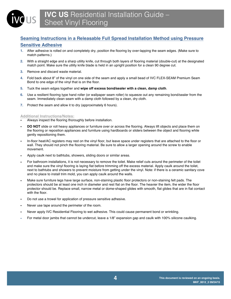# **Seaming Instructions in a Releasable Full Spread Installation Method using Pressure Sensitive Adhesive**

- **1.** After adhesive is rolled on and completely dry, position the flooring by over-lapping the seam edges. (Make sure to match patterns.)
- **2.** With a straight edge and a sharp utility knife, cut through both layers of flooring material (double-cut) at the designated match point. Make sure the utility knife blade is held in an upright position for a clean 90 degree cut.
- **3.** Remove and discard waste material.

**IUS** 

- **4.** Fold back about 8" of the vinyl on one side of the seam and apply a small bead of IVC FLEX-SEAM Premium Seam Bond to one edge of the vinyl that is on the floor.
- **5.** Tuck the seam edges together and **wipe off excess bond/sealer with a clean, damp cloth**.
- **6.** Use a resilient flooring type hand roller (or wallpaper seam roller) to squeeze out any remaining bond/sealer from the seam. Immediately clean seam with a damp cloth followed by a clean, dry cloth.
- **7.** Protect the seam and allow it to dry (approximately 6 hours).

#### **Additional Instructions/Notes:**

- Always inspect the flooring thoroughly before installation.
- **DO NOT** slide or roll heavy appliances or furniture over or across the flooring. Always lift objects and place them on the flooring or reposition appliances and furniture using hardboards or sliders between the object and flooring while gently repositioning them.
- In-floor heat/AC registers may rest on the vinyl floor, but leave space under registers that are attached to the floor or wall. They should not pinch the flooring material. Be sure to allow a larger opening around the screw to enable movement.
- Apply caulk next to bathtubs, showers, sliding doors or similar areas.
- For bathroom installations, it is not necessary to remove the toilet. Make relief cuts around the perimeter of the toilet and make sure the vinyl flooring is laying flat before trimming off the excess material. Apply caulk around the toilet, next to bathtubs and showers to prevent moisture from getting under the vinyl. Note: if there is a ceramic sanitary cove and no place to install trim mold, you can apply caulk around the walls.
- Make sure furniture legs have large surface, non-staining plastic floor protectors or non-staining felt pads. The protectors should be at least one inch in diameter and rest flat on the floor. The heavier the item, the wider the floor protector should be. Replace small, narrow metal or dome-shaped glides with smooth, flat glides that are in flat contact with the floor.
- Do not use a trowel for application of pressure sensitive adhesive.
- Never use tape around the perimeter of the room.
- Never apply IVC Residential Flooring to wet adhesive. This could cause permanent bond or wrinkling.
- For metal door jambs that cannot be undercut, leave a 1/8" expansion gap and caulk with 100% silicone caulking.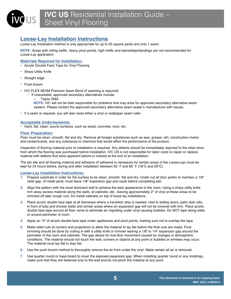# **Loose-Lay Installation Instructions**

Loose-Lay Installation method is only appropriate for up to 25 square yards and only 1 seam.

**NOTE:** *Areas with rolling traffic, heavy pivot points, high traffic and stairs/steps/landings are not recommended for Loose-Lay application.*

# **Materials Required for Installation:**

- Acrylic Double Face Tape for Vinyl Flooring
- Sharp Utility Knife
- Straight edge
- Push broom
- IVC FLEX-SEAM Premium Seam Bond (if seaming is required)
	- If unavailable, approved secondary alternatives include:
		- o Taylor 2062

**NOTE:** IVC will not be held responsible for problems that may arise for approved secondary alternative seam sealers. Please contact the approved secondary alternative seam sealer's manufacturer with issues.

• If a seam is required, you will also need either a vinyl or wallpaper seam roller

#### **Acceptable Underlayments:**

• Hard, flat, clean, sound surfaces, such as wood, concrete, vinyl, etc.

#### **Floor Preparation:**

Floor must be clean, smooth, flat and dry. Remove all foreign substances such as wax, grease, dirt, construction marks and contaminants, and any substance or chemical that would affect the performance of the product.

Inspection of flooring material prior to installation is required. Any defects should be immediately reported to the retail store from which the flooring was purchased before installation. IVC US is not responsible for labor costs to repair or replace material with defects that were apparent before or noticed at the end of an installation.

The job site and all flooring material and adhesive (if adhesive is necessary for certain areas of the Loose-Lay) must be kept for 24 hours before, during and after installation between 65˚ F and 85˚ F (18°C and 29°C).

#### **Loose-Lay Installation Instructions:**

- **1.** Prepare substrate in order for the surface to be clean, smooth, flat and dry. Under cut all door jambs to maintain a 1/8" relief gap. (If metal jamb, must leave 1/8" expansion gap and caulk before completing job)
- **2.** Align the pattern with the most dominant wall to achieve the best appearance in the room. Using a sharp utility knife, trim away excess material along the walls, at cabinets, etc., leaving approximately 2" of vinyl at these areas to be trimmed off later (rough cut). Do install cabinets on top of loose lay installations.
- **3.** Place acrylic double face tape at all doorways where a transition strip is needed, next to sliding doors, patio door sills, in front of tubs and shower stalls and similar areas where an expansion gap will not be covered with trim. Place acrylic double face tape around all floor vents to eliminate air migrating under vinyl causing bubbles. Do NOT tape along walls or around perimeter of room.
- **4.** Apply an "X" of acrylic double-face tape under appliances and pivot points, making sure not to overlap the tape.
- **5.** Make relief cuts at corners and projections to allow the material to lay flat before the final cuts are made. Final trimming should be done by cutting in with a utility knife or trimmer leaving a 1/8" to 1/4" expansion gap around the perimeter of the room and cabinets. The gap allows for sub-floor movement caused by changes in atmospheric conditions. The material should not touch the wall, corners or objects at any point or bubbles or wrinkles may occur. The material must lay flat to stay flat.
- **6.** Use the push broom method to thoroughly remove the air from under the vinyl. Make certain all air is removed.
- **7.** Use quarter round or base board to cover the exposed expansion gap. When installing quarter round or any moldings, make sure that they are fastened only to the wall and do not pinch the material at any point.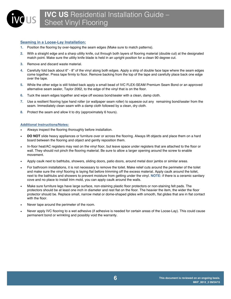# **Seaming in a Loose-Lay Installation:**

 $\mathsf{US}\mid$ 

- **1.** Position the flooring by over-lapping the seam edges (Make sure to match patterns).
- **2.** With a straight edge and a sharp utility knife, cut through both layers of flooring material (double cut) at the designated match point. Make sure the utility knife blade is held in an upright position for a clean 90 degree cut.
- **3.** Remove and discard waste material.
- **4.** Carefully fold back about 6" 8" of the vinyl along both edges. Apply a strip of double face tape where the seam edges come together. Press tape firmly to floor. Remove backing from the top of the tape and carefully place back one edge over the tape.
- **5.** While the other edge is still folded back apply a small bead of IVC FLEX-SEAM Premium Seam Bond or an approved alternative seam sealer, Taylor 2062, to the edge of the vinyl that is on the floor.
- **6.** Tuck the seam edges together and wipe off excess bond/sealer with a clean, damp cloth.
- **7.** Use a resilient flooring type hand roller (or wallpaper seam roller) to squeeze out any remaining bond/sealer from the seam. Immediately clean seam with a damp cloth followed by a clean, dry cloth.
- **8.** Protect the seam and allow it to dry (approximately 6 hours).

#### **Additional Instructions/Notes:**

- Always inspect the flooring thoroughly before installation.
- **DO NOT** slide heavy appliances or furniture over or across the flooring. Always lift objects and place them on a hard board between the flooring and object and gently reposition them.
- In-floor heat/AC registers may rest on the vinyl floor, but leave space under registers that are attached to the floor or wall. They should not pinch the flooring material. Be sure to allow a larger opening around the screw to enable movement.
- Apply caulk next to bathtubs, showers, sliding doors, patio doors, around metal door jambs or similar areas.
- For bathroom installations, it is not necessary to remove the toilet. Make relief cuts around the perimeter of the toilet and make sure the vinyl flooring is laying flat before trimming off the excess material. Apply caulk around the toilet, next to the bathtubs and showers to prevent moisture from getting under the vinyl. **NOTE:** if there is a ceramic sanitary cove and no place to install trim mold, you can apply caulk around the walls.
- Make sure furniture legs have large surface, non-staining plastic floor protectors or non-staining felt pads. The protectors should be at least one inch in diameter and rest flat on the floor. The heavier the item, the wider the floor protector should be. Replace small, narrow metal or dome-shaped glides with smooth, flat glides that are in flat contact with the floor.
- Never tape around the perimeter of the room.
- Never apply IVC flooring to a wet adhesive (if adhesive is needed for certain areas of the Loose-Lay). This could cause permanent bond or wrinkling and possibly void the warranty.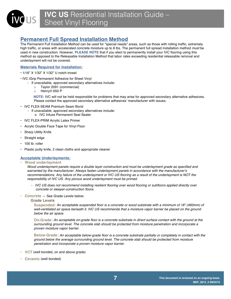# **Permanent Full Spread Installation Method**

The Permanent Full Installation Method can be used for "special needs" areas, such as those with rolling traffic, extremely high traffic, or areas with accelerated concrete moisture up to 8 lbs. The permanent full spread installation method *must* be used in new construction. However, **PLEASE NOTE** that if you elect to permanently install your IVC flooring using this method as opposed to the Releasable Installation Method that labor rates exceeding residential releasable removal and underlayment will not be covered.

# **Materials Required for Installation:**

- 1/16" X 1/32" X 1/32" U notch trowel
- IVC iGrip Permanent Adhesive for Sheet Vinyl
	- If unavailable, approved secondary alternatives include:
		- o Taylor 2091 (commercial)
		- o Henry© 650 P

 **NOTE:** IVC will not be held responsible for problems that may arise for approved secondary alternative adhesives. Please contact the approved secondary alternative adhesives' manufacturer with issues.

- IVC FLEX-SEAM Premium Seam Bond
	- If unavailable, approved secondary alternatives include:
		- o IVC Infuze Permanent Seal Sealer
- IVC FLEX-PRIM Acrylic Latex Primer
- Acrylic Double Face Tape for Vinyl Floor
- Sharp Utility Knife
- Straight edge
- 100 lb. roller
- Plastic putty knife, 2 clean cloths and appropriate cleaner

# **Acceptable Underlayments:**

**• Wood underlayment**

*Wood underlayment panels require a double layer construction and must be underlayment grade as specified and warranted by the manufacturer. Always fasten underlayment panels in accordance with the manufacturer's recommendations. Any failure of the underlayment or IVC US flooring as a result of the underlayment is NOT the responsibility of IVC US. Any porous wood underlayment must be primed.* 

- *- IVC US does not recommend installing resilient flooring over wood flooring or subfloors applied directly over concrete or sleeper-construction floors.*
- **• Concrete** ― See Grade Levels below:

#### **Grade Levels**

**Suspended:** *An acceptable suspended floor is a concrete or wood substrate with a minimum of 18" (460mm) of*  well-ventilated air space beneath it. IVC US recommends that a moisture vapor barrier be placed on the ground *below the air space.*

**On-Grade:** *An acceptable on-grade floor is a concrete substrate in direct surface contact with the ground at the surrounding ground level. The concrete slab should be protected from moisture penetration and incorporate a proven moisture vapor barrier.*

**Below-Grade:** *An acceptable below-grade floor is a concrete substrate partially or completely in contact with the ground below the average surrounding ground level. The concrete slab should be protected from moisture penetration and incorporate a proven moisture vapor barrier.*

- **• VCT** (well bonded, on and above grade)
- **• Ceramic** (well bonded)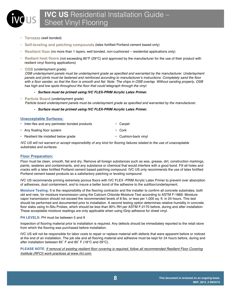**• Terrazzo** (well bonded)

US |

- **• Self-leveling and patching compounds** (latex fortified Portland cement based only)
- **• Resilient floor** (no more than 1 layers, well bonded, non-cushioned residential applications only)
- **Radiant heat floors** (not exceeding 85°F (29°C) and approved by the manufacturer for the use of their product with resilient vinyl flooring applications)
- **• OSB** (underlayment grade)

*OSB underlayment panels must be underlayment grade as specified and warranted by the manufacturer. Underlayment panels and joints must be fastened and reinforced according to manufacturer's instructions. Completely sand the floor with a floor sander, so that the floor is smooth and flat. Note: The chips in OSB overlap. Without sanding properly, OSB has high and low spots throughout the floor that could telegraph through the vinyl.*

- *- Surface must be primed using IVC FLEX-PRIM Acrylic Latex Primer.*
- **• Particle Board** (underlayment grade) *Particle board underlayment panels must be underlayment grade as specified and warranted by the manufacturer.*

# *- Surface must be primed using IVC FLEX-PRIM Acrylic Latex Primer.*

#### **Unacceptable Surfaces:**

- Inter-flex and any perimeter bonded products Carpet • Any floating floor system • Cork
- Resilient tile installed below grade  **Cushion-back vinyl** Cushion-back vinyl

*IVC US will not warrant or accept responsibility of any kind for flooring failures related to the use of unacceptable substrates and surfaces.* 

# **Floor Preparation:**

Floor must be clean, smooth, flat and dry. Remove all foreign substances such as wax, grease, dirt, construction markings, paints, sealeres and contaminants, and any substance or chemical that would interfere with a good bond. Fill all holes and cracks with a latex fortified Portland cement based patching compound. IVC US only recommends the use of latex fortified Portland cement based products as a satisfactory patching or leveling compound.

IVC US recommends priming extremely porous floors with IVC FLEX -PRIM Acrylic Latex Primer to prevent over absorption of adhesives, dust containment, and to insure a better bond of the adhesive to the subfloor/underlayment.

**Moisture Testing:** It is the responsibility of the flooring contractor and the installer to confirm all concrete substrates, both old and new, for moisture transmission using the Calcium Chloride Moisture Test according to ASTM F-1869. Moisture vapor transmission should not exceed the recommended levels of 8 lbs. or less per 1,000 sq. ft. in 24 hours. This test should be performed and documented prior to installation. A second testing option determines relative humidity in concrete floor slabs using In-Situ Probes, which should be less than 90% RH per ASTM F-2170 before, during and after installation. These acceptable moisture readings are only applicable when using iGrip adhesive for sheet vinyl.

# **PH LEVELS:** PH must be between 5 and 9

Inspection of flooring material prior to installation is required. Any defects should be immediately reported to the retail store from which the flooring was purchased before installation.

IVC US will not be responsible for labor costs to repair or replace material with defects that were apparent before or noticed at the end of an installation. The job site and all flooring material and adhesive must be kept for 24 hours before, during and after installation between 65˚ F and 85˚ F (18°C and 29°C).

**PLEASE NOTE**: *If removal of existing resilient floor covering is required, follow all recommended Resilient Floor Covering Institute (RFCI) work practices at www.rfci.com.*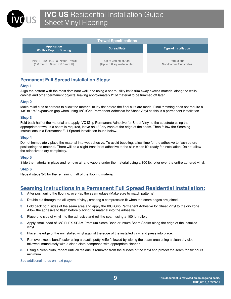

| <b>Trowel Specifications</b>                                         |                                                          |                                     |
|----------------------------------------------------------------------|----------------------------------------------------------|-------------------------------------|
| <b>Application</b><br><b>Width x Depth x Spacing</b>                 | <b>Spread Rate</b>                                       | <b>Type of Installation</b>         |
| 1/16" x 1/32" 1/32" U Notch Trowel<br>$(1.6$ mm x 0.8 mm x 0.8 mm U) | Up to $350$ sq. ft./ gal<br>(Up to 8.6 sq. meters/liter) | Porous and<br>Non-Porous Substrates |

# **Permanent Full Spread Installation Steps:**

#### **Step 1**

Align the pattern with the most dominant wall, and using a sharp utility knife trim away excess material along the walls, cabinet and other permanent objects, leaving approximately 2" of material to be trimmed off later.

# **Step 2**

Make relief cuts at corners to allow the material to lay flat before the final cuts are made. Final trimming does not require a 1/8" to 1/4" expansion gap when using IVC iGrip Permanent Adhesive for Sheet Vinyl as this is a permanent installation.

# **Step 3**

Fold back half of the material and apply IVC iGrip Permanent Adhesive for Sheet Vinyl to the substrate using the appropriate trowel. If a seam is required, leave an 18" dry zone at the edge of the seam. Then follow the Seaming Instructions in a Permanent Full Spread Installation found below.

#### **Step 4**

Do not immediately place the material into wet adhesive. To avoid bubbling, allow time for the adhesive to flash before positioning the material. There will be a slight transfer of adhesive to the skin when it's ready for installation. Do not allow the adhesive to dry completely.

# **Step 5**

Slide the material in place and remove air and vapors under the material using a 100 lb. roller over the entire adhered vinyl.

# **Step 6**

Repeat steps 3-5 for the remaining half of the flooring material.

# **Seaming Instructions in a Permanent Full Spread Residential Installation:**

- **1.** After positioning the flooring, over-lap the seam edges (Make sure to match patterns).
- **2.** Double cut through the all layers of vinyl, creating a compression fit when the seam edges are joined.
- **3.** Fold back both sides of the seam area and apply the IVC iGrip Permanent Adhesive for Sheet Vinyl to the dry zone. Allow the adhesive to flash before placing the material into the adhesive.
- **4.** Place one side of vinyl into the adhesive and roll the seam using a 100 lb. roller.
- **5.** Apply small bead of IVC FLEX-SEAM Premium Seam Bond or Infuze Seam Sealer along the edge of the installed vinyl.
- **6.** Place the edge of the uninstalled vinyl against the edge of the installed vinyl and press into place.
- **7.** Remove excess bond/sealer using a plastic putty knife followed by wiping the seam area using a clean dry cloth followed immediately with a clean cloth dampened with appropriate cleaner.
- **8.** Using a clean cloth, repeat until all residue is removed from the surface of the vinyl and protect the seam for six hours minimum.

#### See additional notes on next page.